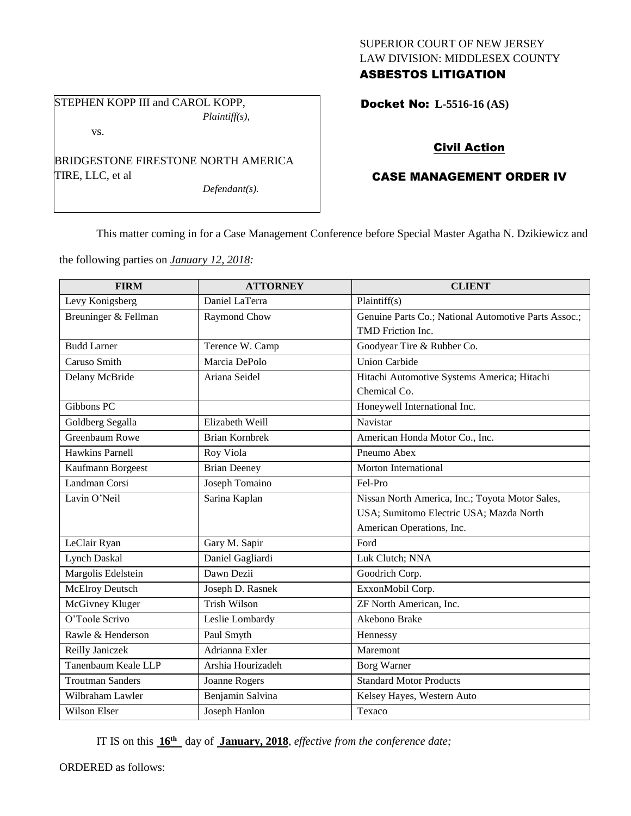### SUPERIOR COURT OF NEW JERSEY LAW DIVISION: MIDDLESEX COUNTY ASBESTOS LITIGATION

STEPHEN KOPP III and CAROL KOPP, *Plaintiff(s),*

vs.

BRIDGESTONE FIRESTONE NORTH AMERICA TIRE, LLC, et al

*Defendant(s).*

Docket No: **L-5516-16 (AS)** 

# Civil Action

## CASE MANAGEMENT ORDER IV

This matter coming in for a Case Management Conference before Special Master Agatha N. Dzikiewicz and

the following parties on *January 12, 2018:*

| <b>FIRM</b>             | <b>ATTORNEY</b>       | <b>CLIENT</b>                                        |
|-------------------------|-----------------------|------------------------------------------------------|
| Levy Konigsberg         | Daniel LaTerra        | Plaintiff(s)                                         |
| Breuninger & Fellman    | Raymond Chow          | Genuine Parts Co.; National Automotive Parts Assoc.; |
|                         |                       | TMD Friction Inc.                                    |
| <b>Budd Larner</b>      | Terence W. Camp       | Goodyear Tire & Rubber Co.                           |
| Caruso Smith            | Marcia DePolo         | <b>Union Carbide</b>                                 |
| Delany McBride          | Ariana Seidel         | Hitachi Automotive Systems America; Hitachi          |
|                         |                       | Chemical Co.                                         |
| Gibbons PC              |                       | Honeywell International Inc.                         |
| Goldberg Segalla        | Elizabeth Weill       | Navistar                                             |
| Greenbaum Rowe          | <b>Brian Kornbrek</b> | American Honda Motor Co., Inc.                       |
| <b>Hawkins Parnell</b>  | Roy Viola             | Pneumo Abex                                          |
| Kaufmann Borgeest       | <b>Brian Deeney</b>   | Morton International                                 |
| Landman Corsi           | Joseph Tomaino        | Fel-Pro                                              |
| Lavin O'Neil            | Sarina Kaplan         | Nissan North America, Inc.; Toyota Motor Sales,      |
|                         |                       | USA; Sumitomo Electric USA; Mazda North              |
|                         |                       | American Operations, Inc.                            |
| LeClair Ryan            | Gary M. Sapir         | Ford                                                 |
| <b>Lynch Daskal</b>     | Daniel Gagliardi      | Luk Clutch; NNA                                      |
| Margolis Edelstein      | Dawn Dezii            | Goodrich Corp.                                       |
| <b>McElroy Deutsch</b>  | Joseph D. Rasnek      | ExxonMobil Corp.                                     |
| McGivney Kluger         | <b>Trish Wilson</b>   | ZF North American, Inc.                              |
| O'Toole Scrivo          | Leslie Lombardy       | Akebono Brake                                        |
| Rawle & Henderson       | Paul Smyth            | Hennessy                                             |
| Reilly Janiczek         | Adrianna Exler        | Maremont                                             |
| Tanenbaum Keale LLP     | Arshia Hourizadeh     | <b>Borg Warner</b>                                   |
| <b>Troutman Sanders</b> | Joanne Rogers         | <b>Standard Motor Products</b>                       |
| Wilbraham Lawler        | Benjamin Salvina      | Kelsey Hayes, Western Auto                           |
| <b>Wilson Elser</b>     | Joseph Hanlon         | Texaco                                               |

IT IS on this **16th** day of **January, 2018**, *effective from the conference date;*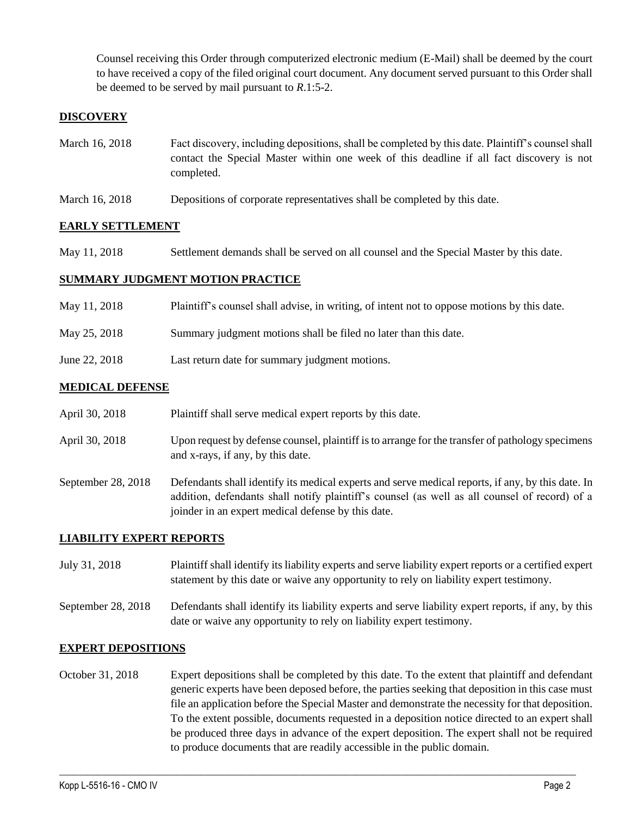Counsel receiving this Order through computerized electronic medium (E-Mail) shall be deemed by the court to have received a copy of the filed original court document. Any document served pursuant to this Order shall be deemed to be served by mail pursuant to *R*.1:5-2.

### **DISCOVERY**

- March 16, 2018 Fact discovery, including depositions, shall be completed by this date. Plaintiff's counsel shall contact the Special Master within one week of this deadline if all fact discovery is not completed.
- March 16, 2018 Depositions of corporate representatives shall be completed by this date.

#### **EARLY SETTLEMENT**

May 11, 2018 Settlement demands shall be served on all counsel and the Special Master by this date.

#### **SUMMARY JUDGMENT MOTION PRACTICE**

| May 11, 2018  | Plaintiff's counsel shall advise, in writing, of intent not to oppose motions by this date. |
|---------------|---------------------------------------------------------------------------------------------|
| May 25, 2018  | Summary judgment motions shall be filed no later than this date.                            |
| June 22, 2018 | Last return date for summary judgment motions.                                              |

#### **MEDICAL DEFENSE**

|  | April 30, 2018 | Plaintiff shall serve medical expert reports by this date. |
|--|----------------|------------------------------------------------------------|
|--|----------------|------------------------------------------------------------|

- April 30, 2018 Upon request by defense counsel, plaintiff is to arrange for the transfer of pathology specimens and x-rays, if any, by this date.
- September 28, 2018 Defendants shall identify its medical experts and serve medical reports, if any, by this date. In addition, defendants shall notify plaintiff's counsel (as well as all counsel of record) of a joinder in an expert medical defense by this date.

#### **LIABILITY EXPERT REPORTS**

July 31, 2018 Plaintiff shall identify its liability experts and serve liability expert reports or a certified expert statement by this date or waive any opportunity to rely on liability expert testimony.

September 28, 2018 Defendants shall identify its liability experts and serve liability expert reports, if any, by this date or waive any opportunity to rely on liability expert testimony.

#### **EXPERT DEPOSITIONS**

October 31, 2018 Expert depositions shall be completed by this date. To the extent that plaintiff and defendant generic experts have been deposed before, the parties seeking that deposition in this case must file an application before the Special Master and demonstrate the necessity for that deposition. To the extent possible, documents requested in a deposition notice directed to an expert shall be produced three days in advance of the expert deposition. The expert shall not be required to produce documents that are readily accessible in the public domain.

 $\_$  ,  $\_$  ,  $\_$  ,  $\_$  ,  $\_$  ,  $\_$  ,  $\_$  ,  $\_$  ,  $\_$  ,  $\_$  ,  $\_$  ,  $\_$  ,  $\_$  ,  $\_$  ,  $\_$  ,  $\_$  ,  $\_$  ,  $\_$  ,  $\_$  ,  $\_$  ,  $\_$  ,  $\_$  ,  $\_$  ,  $\_$  ,  $\_$  ,  $\_$  ,  $\_$  ,  $\_$  ,  $\_$  ,  $\_$  ,  $\_$  ,  $\_$  ,  $\_$  ,  $\_$  ,  $\_$  ,  $\_$  ,  $\_$  ,